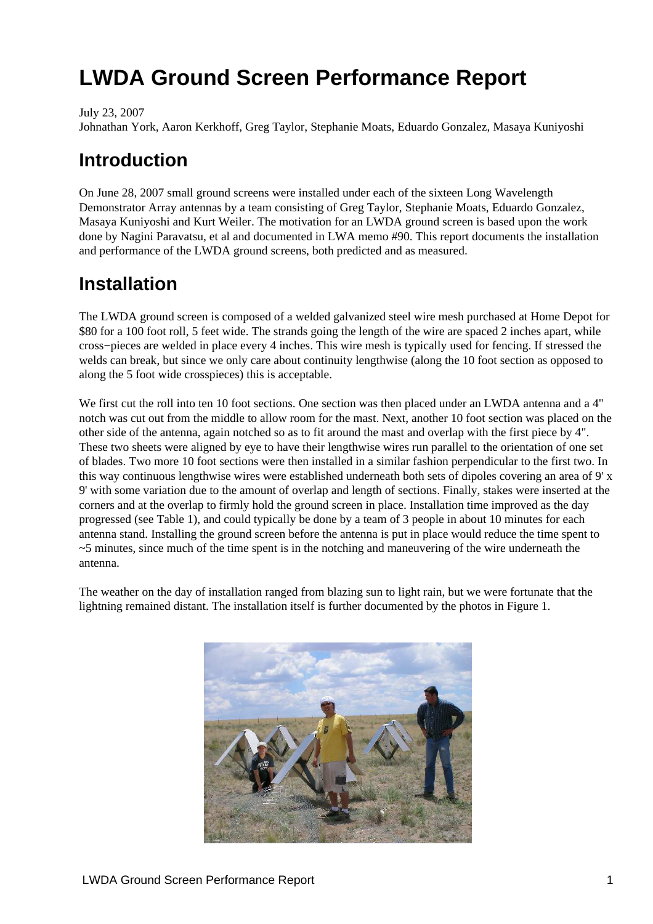July 23, 2007

Johnathan York, Aaron Kerkhoff, Greg Taylor, Stephanie Moats, Eduardo Gonzalez, Masaya Kuniyoshi

# **Introduction**

On June 28, 2007 small ground screens were installed under each of the sixteen Long Wavelength Demonstrator Array antennas by a team consisting of Greg Taylor, Stephanie Moats, Eduardo Gonzalez, Masaya Kuniyoshi and Kurt Weiler. The motivation for an LWDA ground screen is based upon the work done by Nagini Paravatsu, et al and documented in LWA memo #90. This report documents the installation and performance of the LWDA ground screens, both predicted and as measured.

# **Installation**

The LWDA ground screen is composed of a welded galvanized steel wire mesh purchased at Home Depot for \$80 for a 100 foot roll, 5 feet wide. The strands going the length of the wire are spaced 2 inches apart, while cross−pieces are welded in place every 4 inches. This wire mesh is typically used for fencing. If stressed the welds can break, but since we only care about continuity lengthwise (along the 10 foot section as opposed to along the 5 foot wide crosspieces) this is acceptable.

We first cut the roll into ten 10 foot sections. One section was then placed under an LWDA antenna and a 4" notch was cut out from the middle to allow room for the mast. Next, another 10 foot section was placed on the other side of the antenna, again notched so as to fit around the mast and overlap with the first piece by 4". These two sheets were aligned by eye to have their lengthwise wires run parallel to the orientation of one set of blades. Two more 10 foot sections were then installed in a similar fashion perpendicular to the first two. In this way continuous lengthwise wires were established underneath both sets of dipoles covering an area of 9' x 9' with some variation due to the amount of overlap and length of sections. Finally, stakes were inserted at the corners and at the overlap to firmly hold the ground screen in place. Installation time improved as the day progressed (see Table 1), and could typically be done by a team of 3 people in about 10 minutes for each antenna stand. Installing the ground screen before the antenna is put in place would reduce the time spent to  $\sim$ 5 minutes, since much of the time spent is in the notching and maneuvering of the wire underneath the antenna.

<span id="page-0-0"></span>The weather on the day of installation ranged from blazing sun to light rain, but we were fortunate that the lightning remained distant. The installation itself is further documented by the photos in Figure [1.](#page-0-0)

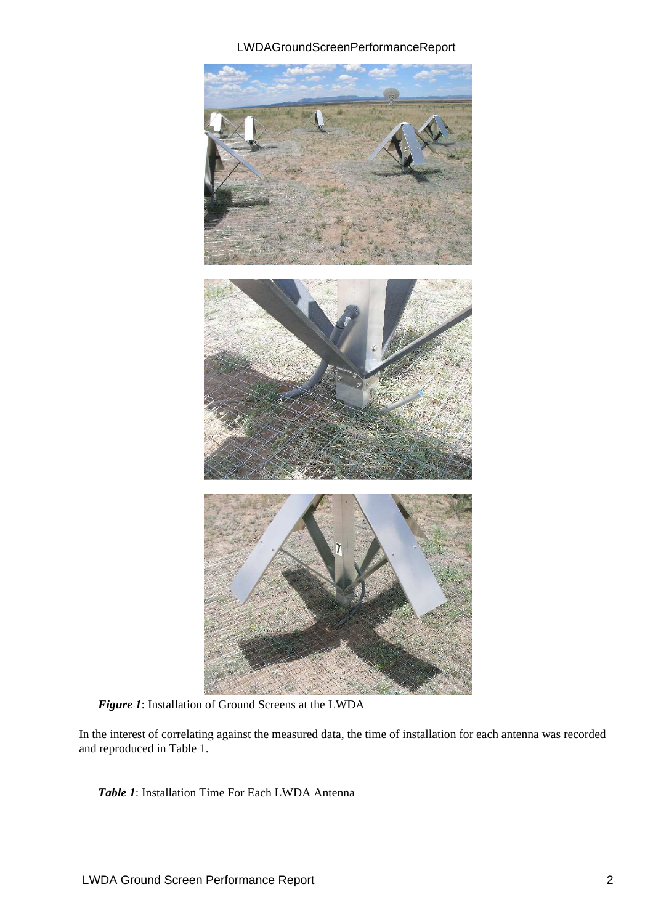

*Figure 1*: Installation of Ground Screens at the LWDA

<span id="page-1-0"></span>In the interest of correlating against the measured data, the time of installation for each antenna was recorded and reproduced in Tabl[e 1.](#page-1-0)

*Table 1*: Installation Time For Each LWDA Antenna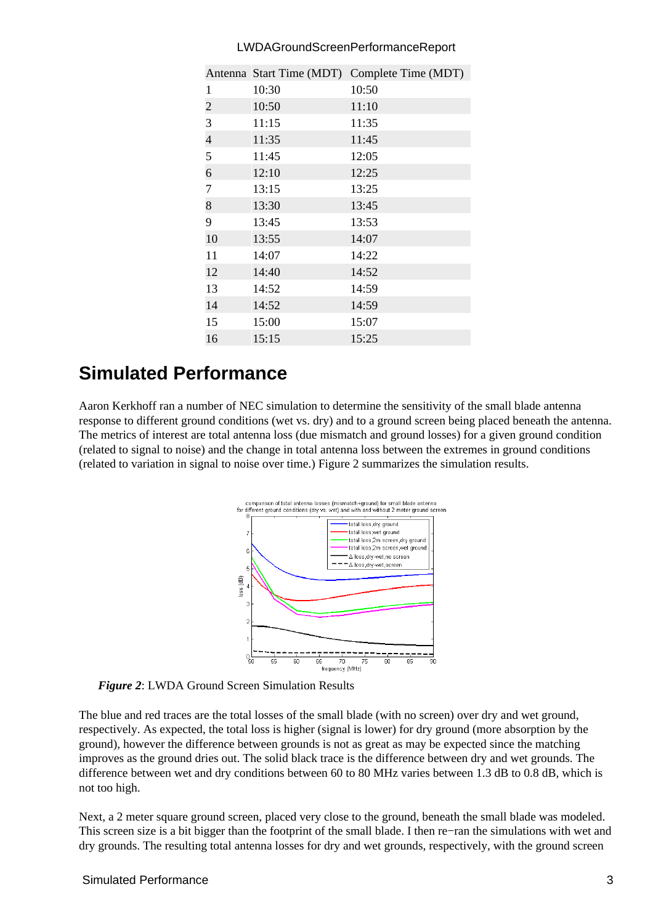|                |       | Antenna Start Time (MDT) Complete Time (MDT) |
|----------------|-------|----------------------------------------------|
| 1              | 10:30 | 10:50                                        |
| $\mathbf{2}$   | 10:50 | 11:10                                        |
| $\overline{3}$ | 11:15 | 11:35                                        |
| $\overline{4}$ | 11:35 | 11:45                                        |
| 5              | 11:45 | 12:05                                        |
| 6              | 12:10 | 12:25                                        |
| $\overline{7}$ | 13:15 | 13:25                                        |
| 8              | 13:30 | 13:45                                        |
| 9              | 13:45 | 13:53                                        |
| 10             | 13:55 | 14:07                                        |
| 11             | 14:07 | 14:22                                        |
| 12             | 14:40 | 14:52                                        |
| 13             | 14:52 | 14:59                                        |
| 14             | 14:52 | 14:59                                        |
| 15             | 15:00 | 15:07                                        |
| 16             | 15:15 | 15:25                                        |

### **Simulated Performance**

<span id="page-2-0"></span>Aaron Kerkhoff ran a number of NEC simulation to determine the sensitivity of the small blade antenna response to different ground conditions (wet vs. dry) and to a ground screen being placed beneath the antenna. The metrics of interest are total antenna loss (due mismatch and ground losses) for a given ground condition (related to signal to noise) and the change in total antenna loss between the extremes in ground conditions (related to variation in signal to noise over time.) Figure [2](#page-2-0) summarizes the simulation results.



*Figure 2*: LWDA Ground Screen Simulation Results

The blue and red traces are the total losses of the small blade (with no screen) over dry and wet ground, respectively. As expected, the total loss is higher (signal is lower) for dry ground (more absorption by the ground), however the difference between grounds is not as great as may be expected since the matching improves as the ground dries out. The solid black trace is the difference between dry and wet grounds. The difference between wet and dry conditions between 60 to 80 MHz varies between 1.3 dB to 0.8 dB, which is not too high.

Next, a 2 meter square ground screen, placed very close to the ground, beneath the small blade was modeled. This screen size is a bit bigger than the footprint of the small blade. I then re−ran the simulations with wet and dry grounds. The resulting total antenna losses for dry and wet grounds, respectively, with the ground screen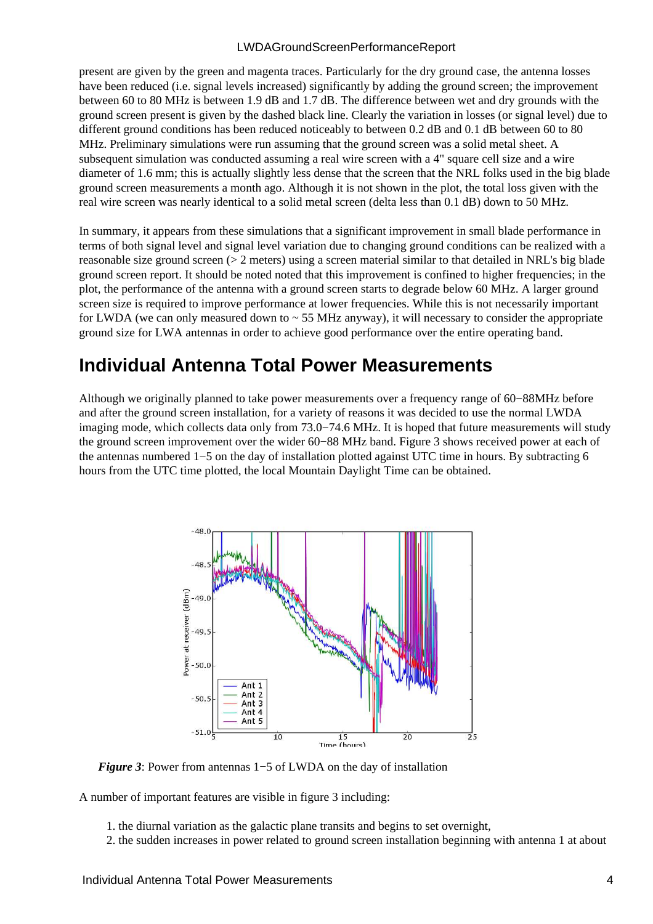present are given by the green and magenta traces. Particularly for the dry ground case, the antenna losses have been reduced (i.e. signal levels increased) significantly by adding the ground screen; the improvement between 60 to 80 MHz is between 1.9 dB and 1.7 dB. The difference between wet and dry grounds with the ground screen present is given by the dashed black line. Clearly the variation in losses (or signal level) due to different ground conditions has been reduced noticeably to between 0.2 dB and 0.1 dB between 60 to 80 MHz. Preliminary simulations were run assuming that the ground screen was a solid metal sheet. A subsequent simulation was conducted assuming a real wire screen with a 4" square cell size and a wire diameter of 1.6 mm; this is actually slightly less dense that the screen that the NRL folks used in the big blade ground screen measurements a month ago. Although it is not shown in the plot, the total loss given with the real wire screen was nearly identical to a solid metal screen (delta less than 0.1 dB) down to 50 MHz.

In summary, it appears from these simulations that a significant improvement in small blade performance in terms of both signal level and signal level variation due to changing ground conditions can be realized with a reasonable size ground screen (> 2 meters) using a screen material similar to that detailed in NRL's big blade ground screen report. It should be noted noted that this improvement is confined to higher frequencies; in the plot, the performance of the antenna with a ground screen starts to degrade below 60 MHz. A larger ground screen size is required to improve performance at lower frequencies. While this is not necessarily important for LWDA (we can only measured down to  $\sim$  55 MHz anyway), it will necessary to consider the appropriate ground size for LWA antennas in order to achieve good performance over the entire operating band.

### **Individual Antenna Total Power Measurements**

<span id="page-3-0"></span>Although we originally planned to take power measurements over a frequency range of 60−88MHz before and after the ground screen installation, for a variety of reasons it was decided to use the normal LWDA imaging mode, which collects data only from 73.0−74.6 MHz. It is hoped that future measurements will study the ground screen improvement over the wider 60−88 MHz band. Figure [3](#page-3-0) shows received power at each of the antennas numbered 1−5 on the day of installation plotted against UTC time in hours. By subtracting 6 hours from the UTC time plotted, the local Mountain Daylight Time can be obtained.



*Figure 3*: Power from antennas 1−5 of LWDA on the day of installation

A number of important features are visible in figure [3](#page-3-0) including:

- 1. the diurnal variation as the galactic plane transits and begins to set overnight,
- 2. the sudden increases in power related to ground screen installation beginning with antenna 1 at about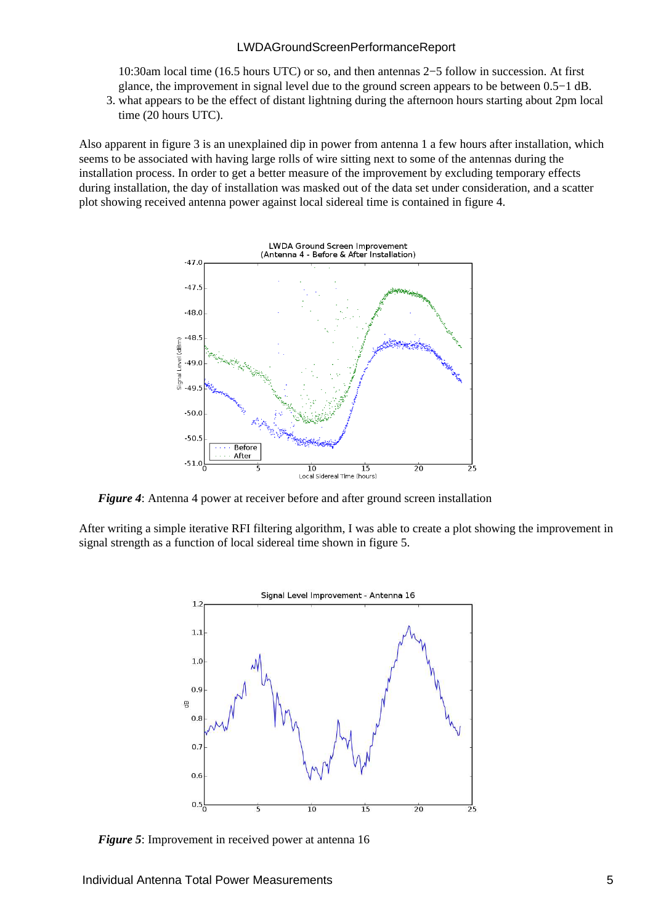10:30am local time (16.5 hours UTC) or so, and then antennas 2−5 follow in succession. At first glance, the improvement in signal level due to the ground screen appears to be between 0.5−1 dB.

3. what appears to be the effect of distant lightning during the afternoon hours starting about 2pm local time (20 hours UTC).

<span id="page-4-0"></span>Also apparent in figure [3](#page-3-0) is an unexplained dip in power from antenna 1 a few hours after installation, which seems to be associated with having large rolls of wire sitting next to some of the antennas during the installation process. In order to get a better measure of the improvement by excluding temporary effects during installation, the day of installation was masked out of the data set under consideration, and a scatter plot showing received antenna power against local sidereal time is contained in figure [4.](#page-4-0)



*Figure 4*: Antenna 4 power at receiver before and after ground screen installation

<span id="page-4-1"></span>After writing a simple iterative RFI filtering algorithm, I was able to create a plot showing the improvement in signal strength as a function of local sidereal time shown in figur[e 5.](#page-4-1)



*Figure 5*: Improvement in received power at antenna 16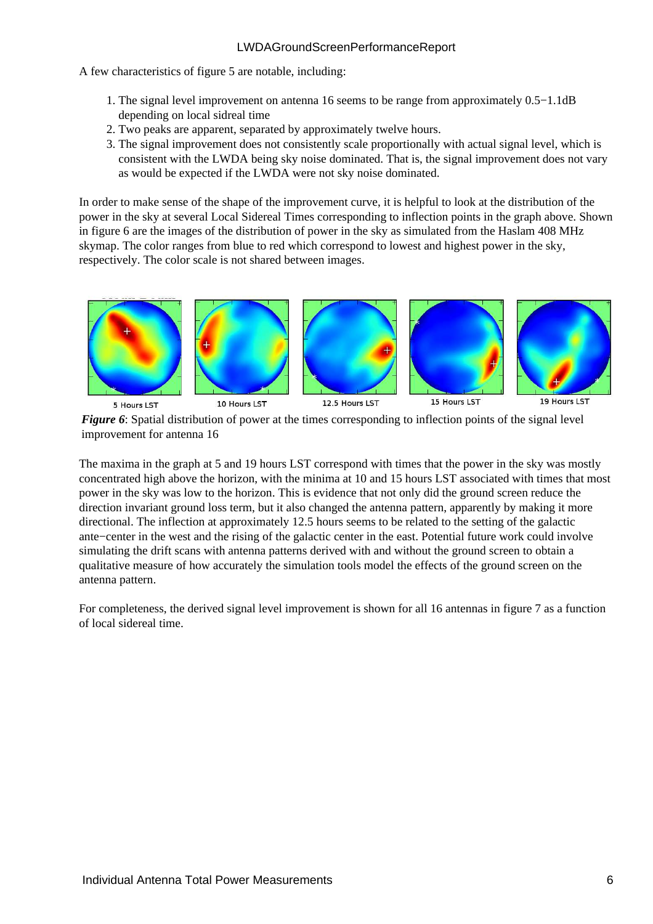A few characteristics of figure [5](#page-4-1) are notable, including:

- 1. The signal level improvement on antenna 16 seems to be range from approximately 0.5–1.1dB depending on local sidreal time
- 2. Two peaks are apparent, separated by approximately twelve hours.
- 3. The signal improvement does not consistently scale proportionally with actual signal level, which is consistent with the LWDA being sky noise dominated. That is, the signal improvement does not vary as would be expected if the LWDA were not sky noise dominated.

In order to make sense of the shape of the improvement curve, it is helpful to look at the distribution of the power in the sky at several Local Sidereal Times corresponding to inflection points in the graph above. Shown in figure [6](#page-5-0) are the images of the distribution of power in the sky as simulated from the Haslam 408 MHz skymap. The color ranges from blue to red which correspond to lowest and highest power in the sky, respectively. The color scale is not shared between images.

<span id="page-5-0"></span>

*Figure 6*: Spatial distribution of power at the times corresponding to inflection points of the signal level improvement for antenna 16

The maxima in the graph at 5 and 19 hours LST correspond with times that the power in the sky was mostly concentrated high above the horizon, with the minima at 10 and 15 hours LST associated with times that most power in the sky was low to the horizon. This is evidence that not only did the ground screen reduce the direction invariant ground loss term, but it also changed the antenna pattern, apparently by making it more directional. The inflection at approximately 12.5 hours seems to be related to the setting of the galactic ante−center in the west and the rising of the galactic center in the east. Potential future work could involve simulating the drift scans with antenna patterns derived with and without the ground screen to obtain a qualitative measure of how accurately the simulation tools model the effects of the ground screen on the antenna pattern.

<span id="page-5-1"></span>For completeness, the derived signal level improvement is shown for all 16 antennas in figure [7](#page-5-1) as a function of local sidereal time.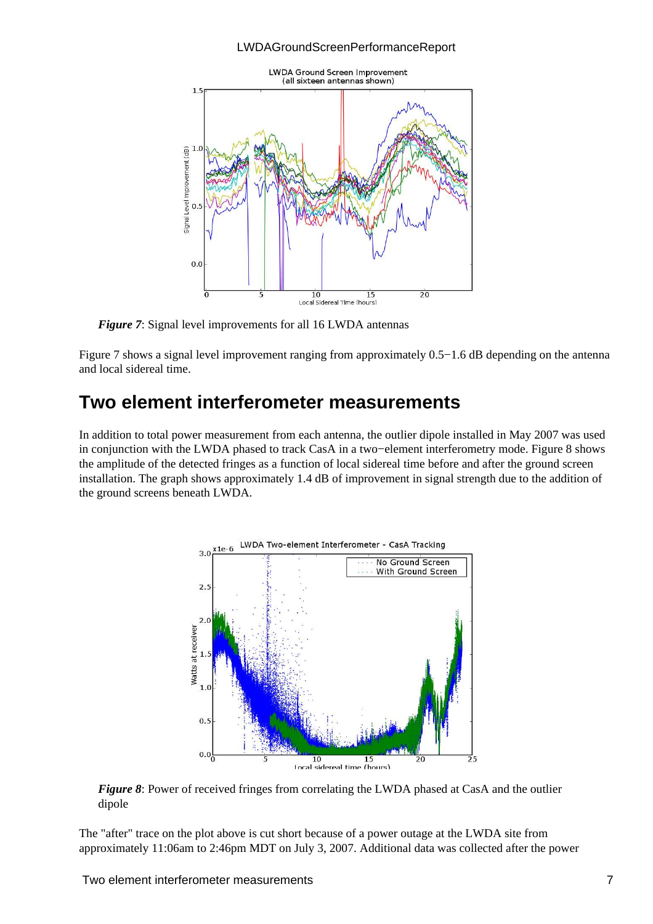

*Figure 7*: Signal level improvements for all 16 LWDA antennas

Figure [7](#page-5-1) shows a signal level improvement ranging from approximately 0.5−1.6 dB depending on the antenna and local sidereal time.

### **Two element interferometer measurements**

<span id="page-6-0"></span>In addition to total power measurement from each antenna, the outlier dipole installed in May 2007 was used in conjunction with the LWDA phased to track CasA in a two−element interferometry mode. Figure [8](#page-6-0) shows the amplitude of the detected fringes as a function of local sidereal time before and after the ground screen installation. The graph shows approximately 1.4 dB of improvement in signal strength due to the addition of the ground screens beneath LWDA.



*Figure 8*: Power of received fringes from correlating the LWDA phased at CasA and the outlier dipole

The "after" trace on the plot above is cut short because of a power outage at the LWDA site from approximately 11:06am to 2:46pm MDT on July 3, 2007. Additional data was collected after the power